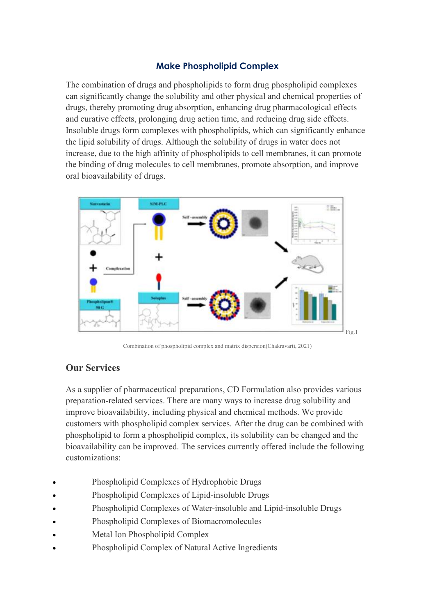## **Make Phospholipid Complex**

The combination of drugs and phospholipids to form drug phospholipid complexes can significantly change the solubility and other physical and chemical properties of drugs, thereby promoting drug absorption, enhancing drug pharmacological effects and curative effects, prolonging drug action time, and reducing drug side effects. Insoluble drugs form complexes with phospholipids, which can significantly enhance the lipid solubility of drugs. Although the solubility of drugs in water does not increase, due to the high affinity of phospholipids to cell membranes, it can promote the binding of drug molecules to cell membranes, promote absorption, and improve oral bioavailability of drugs.



Combination of phospholipid complex and matrix dispersion(Chakravarti, 2021)

## **Our Services**

As a supplier of pharmaceutical preparations, CD Formulation also provides various preparation-related services. There are many ways to increase drug solubility and improve bioavailability, including physical and chemical methods. We provide customers with phospholipid complex services. After the drug can be combined with phospholipid to form a phospholipid complex, its solubility can be changed and the bioavailability can be improved. The services currently offered include the following customizations:

- Phospholipid Complexes of Hydrophobic Drugs
- Phospholipid Complexes of Lipid-insoluble Drugs
- Phospholipid Complexes of Water-insoluble and Lipid-insoluble Drugs
- Phospholipid Complexes of Biomacromolecules
- Metal Ion Phospholipid Complex
- Phospholipid Complex of Natural Active Ingredients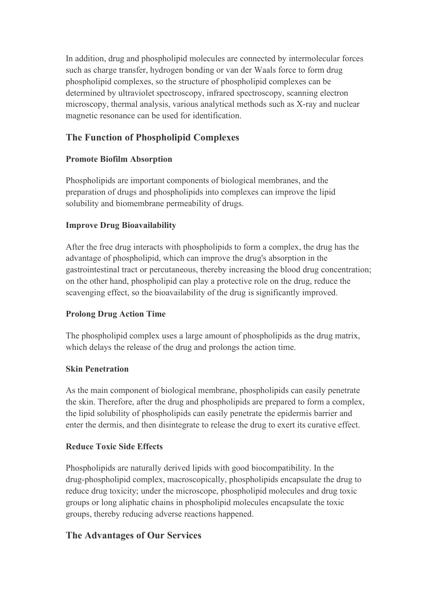In addition, drug and phospholipid molecules are connected by intermolecular forces such as charge transfer, hydrogen bonding or van der Waals force to form drug phospholipid complexes, so the structure of phospholipid complexes can be determined by ultraviolet spectroscopy, infrared spectroscopy, scanning electron microscopy, thermal analysis, various analytical methods such as X-ray and nuclear magnetic resonance can be used for identification.

## **The Function of Phospholipid Complexes**

## **Promote Biofilm Absorption**

Phospholipids are important components of biological membranes, and the preparation of drugs and phospholipids into complexes can improve the lipid solubility and biomembrane permeability of drugs.

## **Improve Drug Bioavailability**

After the free drug interacts with phospholipids to form a complex, the drug has the advantage of phospholipid, which can improve the drug's absorption in the gastrointestinal tract or percutaneous, thereby increasing the blood drug concentration; on the other hand, phospholipid can play a protective role on the drug, reduce the scavenging effect, so the bioavailability of the drug is significantly improved.

## **Prolong Drug Action Time**

The phospholipid complex uses a large amount of phospholipids as the drug matrix, which delays the release of the drug and prolongs the action time.

## **Skin Penetration**

As the main component of biological membrane, phospholipids can easily penetrate the skin. Therefore, after the drug and phospholipids are prepared to form a complex, the lipid solubility of phospholipids can easily penetrate the epidermis barrier and enter the dermis, and then disintegrate to release the drug to exert its curative effect.

## **Reduce Toxic Side Effects**

Phospholipids are naturally derived lipids with good biocompatibility. In the drug-phospholipid complex, macroscopically, phospholipids encapsulate the drug to reduce drug toxicity; under the microscope, phospholipid molecules and drug toxic groups or long aliphatic chains in phospholipid molecules encapsulate the toxic groups, thereby reducing adverse reactions happened.

# **The Advantages of Our Services**